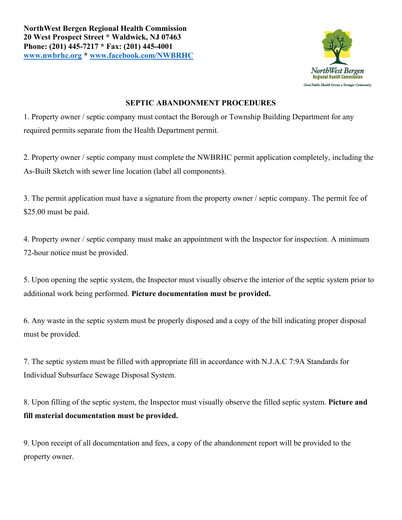

## **SEPTIC ABANDONMENT PROCEDURES**

1. Property owner / septic company must contact the Borough or Township Building Department for any required permits separate from the Health Department permit.

2. Property owner / septic company must complete the NWBRHC permit application completely, including the As-Built Sketch with sewer line location (label all components).

3. The permit application must have a signature from the property owner / septic company. The permit fee of \$25.00 must be paid.

4. Property owner / septic company must make an appointment with the Inspector for inspection. A minimum 72-hour notice must be provided.

5. Upon opening the septic system, the Inspector must visually observe the interior of the septic system prior to additional work being performed. **Picture documentation must be provided.**

6. Any waste in the septic system must be properly disposed and a copy of the bill indicating proper disposal must be provided.

7. The septic system must be filled with appropriate fill in accordance with N.J.A.C 7:9A Standards for Individual Subsurface Sewage Disposal System.

8. Upon filling of the septic system, the Inspector must visually observe the filled septic system. **Picture and fill material documentation must be provided.**

9. Upon receipt of all documentation and fees, a copy of the abandonment report will be provided to the property owner.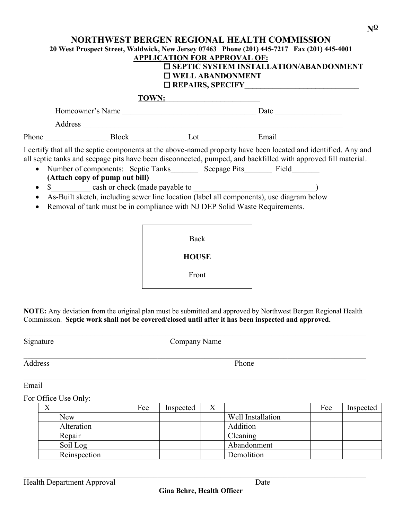|  |                                                                                                                                                        | <b>APPLICATION FOR APPROVAL OF:</b><br>$\Box$ WELL ABANDONMENT | <b>NORTHWEST BERGEN REGIONAL HEALTH COMMISSION</b><br>20 West Prospect Street, Waldwick, New Jersey 07463  Phone (201) 445-7217  Fax (201) 445-4001<br><b><math>\Box</math> SEPTIC SYSTEM INSTALLATION/ABANDONMENT</b>                                                                                                                                                                                        |  |  |
|--|--------------------------------------------------------------------------------------------------------------------------------------------------------|----------------------------------------------------------------|---------------------------------------------------------------------------------------------------------------------------------------------------------------------------------------------------------------------------------------------------------------------------------------------------------------------------------------------------------------------------------------------------------------|--|--|
|  |                                                                                                                                                        | TOWN:                                                          |                                                                                                                                                                                                                                                                                                                                                                                                               |  |  |
|  |                                                                                                                                                        |                                                                |                                                                                                                                                                                                                                                                                                                                                                                                               |  |  |
|  |                                                                                                                                                        |                                                                |                                                                                                                                                                                                                                                                                                                                                                                                               |  |  |
|  |                                                                                                                                                        |                                                                |                                                                                                                                                                                                                                                                                                                                                                                                               |  |  |
|  | (Attach copy of pump out bill)<br>• \$ cash or check (made payable to )<br>Removal of tank must be in compliance with NJ DEP Solid Waste Requirements. |                                                                | I certify that all the septic components at the above-named property have been located and identified. Any and<br>all septic tanks and seepage pits have been disconnected, pumped, and backfilled with approved fill material.<br>Number of components: Septic Tanks_________ Seepage Pits________ Field________<br>As-Built sketch, including sewer line location (label all components), use diagram below |  |  |
|  |                                                                                                                                                        | Back                                                           |                                                                                                                                                                                                                                                                                                                                                                                                               |  |  |

**HOUSE**

Front

**NOTE:** Any deviation from the original plan must be submitted and approved by Northwest Bergen Regional Health Commission. **Septic work shall not be covered/closed until after it has been inspected and approved.**

Signature Company Name

 $\mathcal{L}_\mathcal{L} = \mathcal{L}_\mathcal{L} = \mathcal{L}_\mathcal{L} = \mathcal{L}_\mathcal{L} = \mathcal{L}_\mathcal{L} = \mathcal{L}_\mathcal{L} = \mathcal{L}_\mathcal{L} = \mathcal{L}_\mathcal{L} = \mathcal{L}_\mathcal{L} = \mathcal{L}_\mathcal{L} = \mathcal{L}_\mathcal{L} = \mathcal{L}_\mathcal{L} = \mathcal{L}_\mathcal{L} = \mathcal{L}_\mathcal{L} = \mathcal{L}_\mathcal{L} = \mathcal{L}_\mathcal{L} = \mathcal{L}_\mathcal{L}$ 

Address Phone

## Email

For Office Use Only:

| ∡ |              | Fee | Inspected | $\Lambda$ |                   | Fee | Inspected |
|---|--------------|-----|-----------|-----------|-------------------|-----|-----------|
|   | New          |     |           |           | Well Installation |     |           |
|   | Alteration   |     |           |           | Addition          |     |           |
|   | Repair       |     |           |           | Cleaning          |     |           |
|   | Soil Log     |     |           |           | Abandonment       |     |           |
|   | Reinspection |     |           |           | Demolition        |     |           |